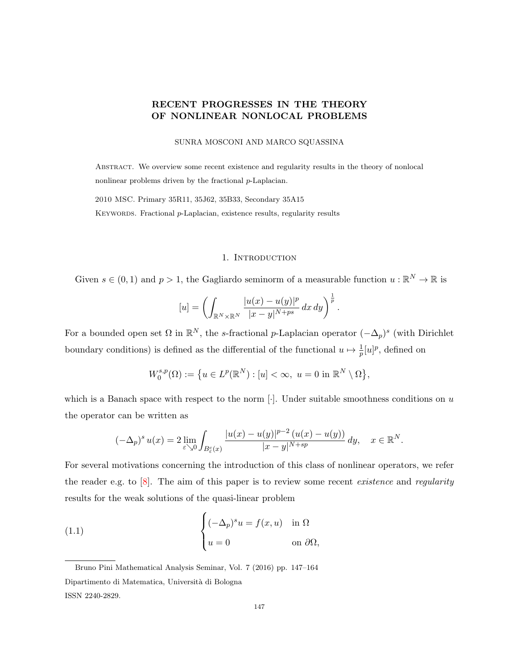# <span id="page-0-1"></span>RECENT PROGRESSES IN THE THEORY OF NONLINEAR NONLOCAL PROBLEMS

SUNRA MOSCONI AND MARCO SQUASSINA

Abstract. We overview some recent existence and regularity results in the theory of nonlocal nonlinear problems driven by the fractional p-Laplacian.

2010 MSC. Primary 35R11, 35J62, 35B33, Secondary 35A15

KEYWORDS. Fractional p-Laplacian, existence results, regularity results

### 1. INTRODUCTION

Given  $s \in (0,1)$  and  $p > 1$ , the Gagliardo seminorm of a measurable function  $u : \mathbb{R}^N \to \mathbb{R}$  is

$$
[u] = \left(\int_{\mathbb{R}^N \times \mathbb{R}^N} \frac{|u(x) - u(y)|^p}{|x - y|^{N + ps}} dx dy\right)^{\frac{1}{p}}.
$$

For a bounded open set  $\Omega$  in  $\mathbb{R}^N$ , the s-fractional p-Laplacian operator  $(-\Delta_p)^s$  (with Dirichlet boundary conditions) is defined as the differential of the functional  $u \mapsto \frac{1}{p}[u]^p$ , defined on

$$
W_0^{s,p}(\Omega):=\big\{u\in L^p(\mathbb{R}^N): [u]<\infty,\ u=0\ \text{in}\ \mathbb{R}^N\setminus\Omega\big\},
$$

which is a Banach space with respect to the norm  $[\cdot]$ . Under suitable smoothness conditions on u the operator can be written as

<span id="page-0-0"></span>
$$
(-\Delta_p)^s u(x) = 2 \lim_{\varepsilon \searrow 0} \int_{B_{\varepsilon}^c(x)} \frac{|u(x) - u(y)|^{p-2} (u(x) - u(y))}{|x - y|^{N + sp}} dy, \quad x \in \mathbb{R}^N.
$$

For several motivations concerning the introduction of this class of nonlinear operators, we refer the reader e.g. to  $[8]$ . The aim of this paper is to review some recent *existence* and *regularity* results for the weak solutions of the quasi-linear problem

(1.1) 
$$
\begin{cases} (-\Delta_p)^s u = f(x, u) & \text{in } \Omega \\ u = 0 & \text{on } \partial\Omega, \end{cases}
$$

Bruno Pini Mathematical Analysis Seminar, Vol. 7 (2016) pp. 147–164 Dipartimento di Matematica, Universit`a di Bologna ISSN 2240-2829.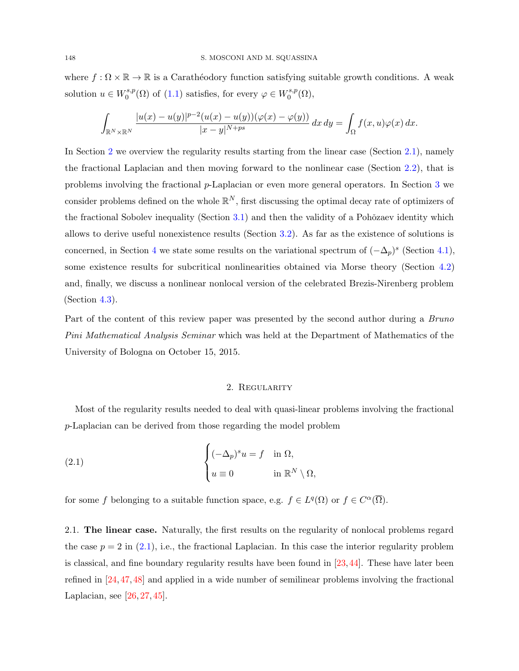where  $f : \Omega \times \mathbb{R} \to \mathbb{R}$  is a Carathéodory function satisfying suitable growth conditions. A weak solution  $u \in W_0^{s,p}$  $C_0^{s,p}(\Omega)$  of  $(1.1)$  satisfies, for every  $\varphi \in W_0^{s,p}$  $\mathfrak{g}^{s,p}_0(\Omega),$ 

$$
\int_{\mathbb{R}^N\times\mathbb{R}^N}\frac{|u(x)-u(y)|^{p-2}(u(x)-u(y))(\varphi(x)-\varphi(y))}{|x-y|^{N+ps}}\,dx\,dy=\int_{\Omega}f(x,u)\varphi(x)\,dx.
$$

In Section [2](#page-1-0) we overview the regularity results starting from the linear case (Section [2.1\)](#page-1-1), namely the fractional Laplacian and then moving forward to the nonlinear case (Section [2.2\)](#page-3-0), that is problems involving the fractional p-Laplacian or even more general operators. In Section [3](#page-5-0) we consider problems defined on the whole  $\mathbb{R}^N$ , first discussing the optimal decay rate of optimizers of the fractional Sobolev inequality (Section  $3.1$ ) and then the validity of a Pohŏzaev identity which allows to derive useful nonexistence results (Section [3.2\)](#page-8-0). As far as the existence of solutions is concerned, in Section [4](#page-10-0) we state some results on the variational spectrum of  $(-\Delta_p)^s$  (Section [4.1\)](#page-10-1), some existence results for subcritical nonlinearities obtained via Morse theory (Section [4.2\)](#page-11-0) and, finally, we discuss a nonlinear nonlocal version of the celebrated Brezis-Nirenberg problem  $(Section 4.3).$  $(Section 4.3).$  $(Section 4.3).$ 

Part of the content of this review paper was presented by the second author during a Bruno Pini Mathematical Analysis Seminar which was held at the Department of Mathematics of the University of Bologna on October 15, 2015.

### <span id="page-1-2"></span>2. Regularity

<span id="page-1-0"></span>Most of the regularity results needed to deal with quasi-linear problems involving the fractional p-Laplacian can be derived from those regarding the model problem

(2.1) 
$$
\begin{cases} (-\Delta_p)^s u = f & \text{in } \Omega, \\ u \equiv 0 & \text{in } \mathbb{R}^N \setminus \Omega, \end{cases}
$$

for some f belonging to a suitable function space, e.g.  $f \in L^q(\Omega)$  or  $f \in C^{\alpha}(\overline{\Omega})$ .

<span id="page-1-1"></span>2.1. The linear case. Naturally, the first results on the regularity of nonlocal problems regard the case  $p = 2$  in [\(2.1\)](#page-1-2), i.e., the fractional Laplacian. In this case the interior regularity problem is classical, and fine boundary regularity results have been found in  $[23,44]$  $[23,44]$ . These have later been refined in [\[24,](#page-15-1) [47,](#page-16-1) [48\]](#page-16-2) and applied in a wide number of semilinear problems involving the fractional Laplacian, see [\[26,](#page-15-2) [27,](#page-15-3) [45\]](#page-16-3).

<span id="page-1-3"></span>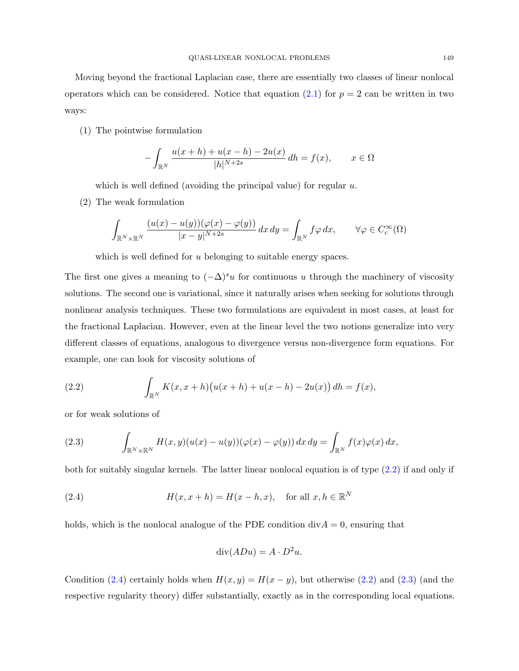Moving beyond the fractional Laplacian case, there are essentially two classes of linear nonlocal operators which can be considered. Notice that equation [\(2.1\)](#page-1-2) for  $p = 2$  can be written in two ways:

(1) The pointwise formulation

$$
-\int_{\mathbb{R}^N} \frac{u(x+h) + u(x-h) - 2u(x)}{|h|^{N+2s}} dh = f(x), \qquad x \in \Omega
$$

which is well defined (avoiding the principal value) for regular  $u$ .

(2) The weak formulation

$$
\int_{\mathbb{R}^N \times \mathbb{R}^N} \frac{(u(x) - u(y))(\varphi(x) - \varphi(y))}{|x - y|^{N+2s}} dx dy = \int_{\mathbb{R}^N} f \varphi dx, \qquad \forall \varphi \in C_c^{\infty}(\Omega)
$$

which is well defined for u belonging to suitable energy spaces.

The first one gives a meaning to  $(-\Delta)^s u$  for continuous u through the machinery of viscosity solutions. The second one is variational, since it naturally arises when seeking for solutions through nonlinear analysis techniques. These two formulations are equivalent in most cases, at least for the fractional Laplacian. However, even at the linear level the two notions generalize into very different classes of equations, analogous to divergence versus non-divergence form equations. For example, one can look for viscosity solutions of

<span id="page-2-0"></span>(2.2) 
$$
\int_{\mathbb{R}^N} K(x, x + h) (u(x+h) + u(x-h) - 2u(x)) dh = f(x),
$$

or for weak solutions of

<span id="page-2-2"></span>(2.3) 
$$
\int_{\mathbb{R}^N \times \mathbb{R}^N} H(x,y)(u(x) - u(y))(\varphi(x) - \varphi(y)) dx dy = \int_{\mathbb{R}^N} f(x)\varphi(x) dx,
$$

both for suitably singular kernels. The latter linear nonlocal equation is of type [\(2.2\)](#page-2-0) if and only if

(2.4) 
$$
H(x, x+h) = H(x-h, x), \text{ for all } x, h \in \mathbb{R}^N
$$

holds, which is the nonlocal analogue of the PDE condition  $div A = 0$ , ensuring that

<span id="page-2-1"></span>
$$
\operatorname{div}(ADu) = A \cdot D^2 u.
$$

Condition [\(2.4\)](#page-2-1) certainly holds when  $H(x, y) = H(x - y)$ , but otherwise [\(2.2\)](#page-2-0) and [\(2.3\)](#page-2-2) (and the respective regularity theory) differ substantially, exactly as in the corresponding local equations.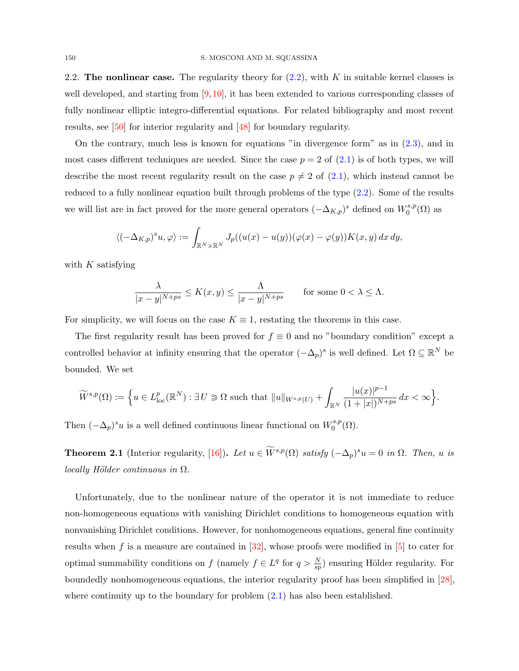<span id="page-3-1"></span><span id="page-3-0"></span>2.2. The nonlinear case. The regularity theory for  $(2.2)$ , with K in suitable kernel classes is well developed, and starting from [\[9,](#page-14-1) [10\]](#page-14-2), it has been extended to various corresponding classes of fully nonlinear elliptic integro-differential equations. For related bibliography and most recent results, see [\[50\]](#page-16-4) for interior regularity and [\[48\]](#page-16-2) for boundary regularity.

On the contrary, much less is known for equations "in divergence form" as in [\(2.3\)](#page-2-2), and in most cases different techniques are needed. Since the case  $p = 2$  of  $(2.1)$  is of both types, we will describe the most recent regularity result on the case  $p \neq 2$  of  $(2.1)$ , which instead cannot be reduced to a fully nonlinear equation built through problems of the type [\(2.2\)](#page-2-0). Some of the results we will list are in fact proved for the more general operators  $(-\Delta_{K,p})^s$  defined on  $W_0^{s,p}$  $\binom{s,p}{0}$  as

$$
\langle (-\Delta_{K,p})^s u, \varphi \rangle := \int_{\mathbb{R}^N \times \mathbb{R}^N} J_p((u(x) - u(y))(\varphi(x) - \varphi(y)) K(x, y) dx dy,
$$

with  $K$  satisfying

$$
\frac{\lambda}{|x-y|^{N+ps}} \le K(x,y) \le \frac{\Lambda}{|x-y|^{N+ps}} \quad \text{for some } 0 < \lambda \le \Lambda.
$$

For simplicity, we will focus on the case  $K \equiv 1$ , restating the theorems in this case.

The first regularity result has been proved for  $f \equiv 0$  and no "boundary condition" except a controlled behavior at infinity ensuring that the operator  $(-\Delta_p)^s$  is well defined. Let  $\Omega \subseteq \mathbb{R}^N$  be bounded. We set

$$
\widetilde{W}^{s,p}(\Omega) := \Big\{ u \in L^p_{\text{loc}}(\mathbb{R}^N) : \exists U \ni \Omega \text{ such that } ||u||_{W^{s,p}(U)} + \int_{\mathbb{R}^N} \frac{|u(x)|^{p-1}}{(1+|x|)^{N+ps}} dx < \infty \Big\}.
$$

Then  $(-\Delta_p)^s u$  is a well defined continuous linear functional on  $W_0^{s,p}$  $\mathfrak{g}^{s,p}_0(\Omega).$ 

**Theorem 2.1** (Interior regularity, [\[16\]](#page-14-3)). Let  $u \in \widetilde{W}^{s,p}(\Omega)$  satisfy  $(-\Delta_p)^s u = 0$  in  $\Omega$ . Then, u is  $locally$  Hölder continuous in  $\Omega$ .

Unfortunately, due to the nonlinear nature of the operator it is not immediate to reduce non-homogeneous equations with vanishing Dirichlet conditions to homogeneous equation with nonvanishing Dirichlet conditions. However, for nonhomogeneous equations, general fine continuity results when f is a measure are contained in  $[32]$ , whose proofs were modified in  $[5]$  to cater for optimal summability conditions on f (namely  $f \in L^q$  for  $q > \frac{N}{sp}$ ) ensuring Hölder regularity. For boundedly nonhomogeneous equations, the interior regularity proof has been simplified in [\[28\]](#page-15-5), where continuity up to the boundary for problem  $(2.1)$  has also been established.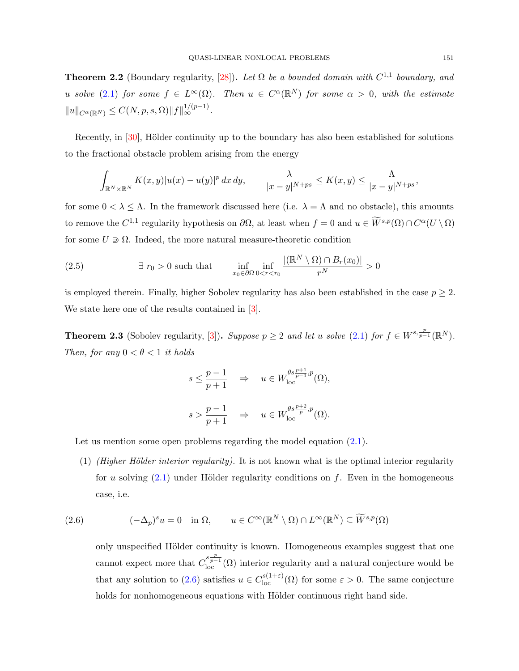<span id="page-4-3"></span>**Theorem 2.2** (Boundary regularity, [\[28\]](#page-15-5)). Let  $\Omega$  be a bounded domain with  $C^{1,1}$  boundary, and u solve [\(2.1\)](#page-1-2) for some  $f \in L^{\infty}(\Omega)$ . Then  $u \in C^{\alpha}(\mathbb{R}^N)$  for some  $\alpha > 0$ , with the estimate  $||u||_{C^{\alpha}(\mathbb{R}^N)} \leq C(N, p, s, \Omega) ||f||_{\infty}^{1/(p-1)}.$ 

Recently, in [\[30\]](#page-15-6), Hölder continuity up to the boundary has also been established for solutions to the fractional obstacle problem arising from the energy

$$
\int_{\mathbb{R}^N \times \mathbb{R}^N} K(x,y) |u(x) - u(y)|^p dx dy, \qquad \frac{\lambda}{|x - y|^{N + ps}} \le K(x,y) \le \frac{\Lambda}{|x - y|^{N + ps}},
$$

for some  $0 < \lambda \leq \Lambda$ . In the framework discussed here (i.e.  $\lambda = \Lambda$  and no obstacle), this amounts to remove the  $C^{1,1}$  regularity hypothesis on  $\partial\Omega$ , at least when  $f = 0$  and  $u \in \widetilde{W}^{s,p}(\Omega) \cap C^{\alpha}(U \setminus \Omega)$ for some  $U \supseteq \Omega$ . Indeed, the more natural measure-theoretic condition

<span id="page-4-2"></span>(2.5) 
$$
\exists r_0 > 0 \text{ such that } \inf_{x_0 \in \partial\Omega} \inf_{0 < r < r_0} \frac{|(\mathbb{R}^N \setminus \Omega) \cap B_r(x_0)|}{r^N} > 0
$$

is employed therein. Finally, higher Sobolev regularity has also been established in the case  $p \geq 2$ . We state here one of the results contained in [\[3\]](#page-14-5).

<span id="page-4-1"></span>**Theorem 2.3** (Sobolev regularity, [\[3\]](#page-14-5)). Suppose  $p \geq 2$  and let u solve [\(2.1\)](#page-1-2) for  $f \in W^{s, \frac{p}{p-1}}(\mathbb{R}^N)$ . Then, for any  $0 < \theta < 1$  it holds

$$
s \leq \frac{p-1}{p+1} \quad \Rightarrow \quad u \in W_{\text{loc}}^{\theta s \frac{p+1}{p-1}, p}(\Omega),
$$
  

$$
s > \frac{p-1}{p+1} \quad \Rightarrow \quad u \in W_{\text{loc}}^{\theta s \frac{p+2}{p}, p}(\Omega).
$$

Let us mention some open problems regarding the model equation  $(2.1)$ .

(1) (Higher Hölder interior regularity). It is not known what is the optimal interior regularity for u solving  $(2.1)$  under Hölder regularity conditions on f. Even in the homogeneous case, i.e.

(2.6) 
$$
(-\Delta_p)^s u = 0 \quad \text{in } \Omega, \qquad u \in C^\infty(\mathbb{R}^N \setminus \Omega) \cap L^\infty(\mathbb{R}^N) \subseteq \widetilde{W}^{s,p}(\Omega)
$$

<span id="page-4-0"></span>only unspecified Hölder continuity is known. Homogeneous examples suggest that one cannot expect more that  $C_{\text{loc}}^{s\frac{p}{p-1}}(\Omega)$  interior regularity and a natural conjecture would be that any solution to [\(2.6\)](#page-4-0) satisfies  $u \in C^{s(1+\varepsilon)}_{loc}(\Omega)$  for some  $\varepsilon > 0$ . The same conjecture holds for nonhomogeneous equations with Hölder continuous right hand side.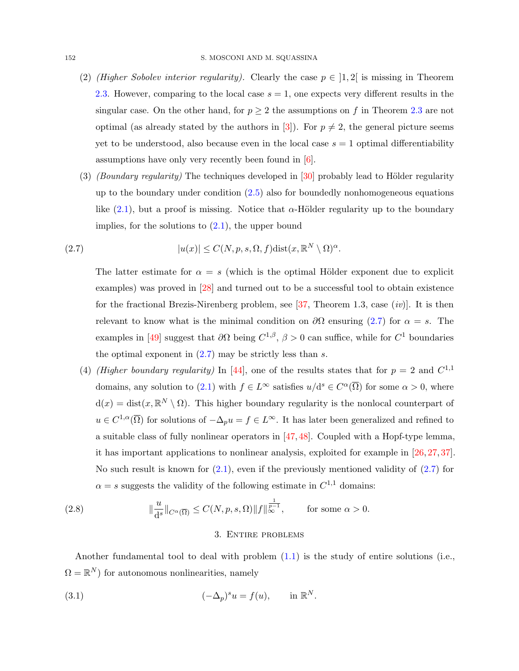- <span id="page-5-4"></span>(2) (Higher Sobolev interior regularity). Clearly the case  $p \in ]1,2[$  is missing in Theorem [2.3.](#page-4-1) However, comparing to the local case  $s = 1$ , one expects very different results in the singular case. On the other hand, for  $p \geq 2$  the assumptions on f in Theorem [2.3](#page-4-1) are not optimal (as already stated by the authors in [\[3\]](#page-14-5)). For  $p \neq 2$ , the general picture seems yet to be understood, also because even in the local case  $s = 1$  optimal differentiability assumptions have only very recently been found in [\[6\]](#page-14-6).
- (3) (Boundary regularity) The techniques developed in  $[30]$  probably lead to Hölder regularity up to the boundary under condition [\(2.5\)](#page-4-2) also for boundedly nonhomogeneous equations like [\(2.1\)](#page-1-2), but a proof is missing. Notice that  $\alpha$ -Hölder regularity up to the boundary implies, for the solutions to  $(2.1)$ , the upper bound

(2.7) 
$$
|u(x)| \le C(N, p, s, \Omega, f) \text{dist}(x, \mathbb{R}^N \setminus \Omega)^{\alpha}.
$$

<span id="page-5-1"></span>The latter estimate for  $\alpha = s$  (which is the optimal Hölder exponent due to explicit examples) was proved in [\[28\]](#page-15-5) and turned out to be a successful tool to obtain existence for the fractional Brezis-Nirenberg problem, see  $[37,$  Theorem 1.3, case  $(iv)$ . It is then relevant to know what is the minimal condition on  $\partial\Omega$  ensuring [\(2.7\)](#page-5-1) for  $\alpha = s$ . The examples in [\[49\]](#page-16-6) suggest that  $\partial\Omega$  being  $C^{1,\beta}$ ,  $\beta > 0$  can suffice, while for  $C^1$  boundaries the optimal exponent in  $(2.7)$  may be strictly less than s.

(4) (Higher boundary regularity) In [\[44\]](#page-16-0), one of the results states that for  $p = 2$  and  $C^{1,1}$ domains, any solution to [\(2.1\)](#page-1-2) with  $f \in L^{\infty}$  satisfies  $u/d^{s} \in C^{\alpha}(\overline{\Omega})$  for some  $\alpha > 0$ , where  $d(x) = dist(x, \mathbb{R}^N \setminus \Omega)$ . This higher boundary regularity is the nonlocal counterpart of  $u \in C^{1,\alpha}(\overline{\Omega})$  for solutions of  $-\Delta_p u = f \in L^{\infty}$ . It has later been generalized and refined to a suitable class of fully nonlinear operators in [\[47,](#page-16-1) [48\]](#page-16-2). Coupled with a Hopf-type lemma, it has important applications to nonlinear analysis, exploited for example in [\[26,](#page-15-2) [27,](#page-15-3) [37\]](#page-16-5). No such result is known for  $(2.1)$ , even if the previously mentioned validity of  $(2.7)$  for  $\alpha = s$  suggests the validity of the following estimate in  $C^{1,1}$  domains:

(2.8) 
$$
\|\frac{u}{d^s}\|_{C^{\alpha}(\overline{\Omega})} \leq C(N, p, s, \Omega) \|f\|_{\infty}^{\frac{1}{p-1}}, \quad \text{for some } \alpha > 0.
$$

#### <span id="page-5-3"></span><span id="page-5-2"></span>3. Entire problems

<span id="page-5-0"></span>Another fundamental tool to deal with problem  $(1.1)$  is the study of entire solutions (i.e.,  $\Omega = \mathbb{R}^N$ ) for autonomous nonlinearities, namely

(3.1) 
$$
(-\Delta_p)^s u = f(u), \quad \text{in } \mathbb{R}^N.
$$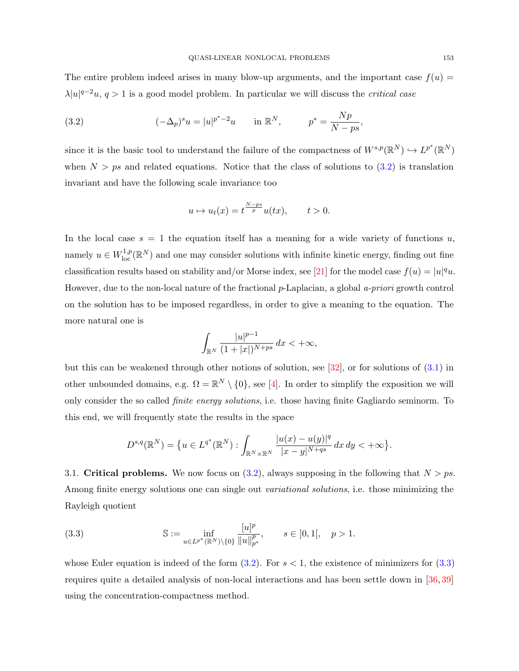<span id="page-6-3"></span>The entire problem indeed arises in many blow-up arguments, and the important case  $f(u)$  =  $\lambda |u|^{q-2}u, q>1$  is a good model problem. In particular we will discuss the *critical case* 

<span id="page-6-1"></span>(3.2) 
$$
(-\Delta_p)^s u = |u|^{p^*-2}u \quad \text{in } \mathbb{R}^N, \qquad p^* = \frac{Np}{N-ps},
$$

since it is the basic tool to understand the failure of the compactness of  $W^{s,p}(\mathbb{R}^N) \hookrightarrow L^{p^*}(\mathbb{R}^N)$ when  $N > ps$  and related equations. Notice that the class of solutions to  $(3.2)$  is translation invariant and have the following scale invariance too

$$
u \mapsto u_t(x) = t^{\frac{N-ps}{p}} u(tx), \qquad t > 0.
$$

In the local case  $s = 1$  the equation itself has a meaning for a wide variety of functions u, namely  $u \in W^{1,p}_{loc}(\mathbb{R}^N)$  and one may consider solutions with infinite kinetic energy, finding out fine classification results based on stability and/or Morse index, see [\[21\]](#page-15-7) for the model case  $f(u) = |u|^q u$ . However, due to the non-local nature of the fractional p-Laplacian, a global a-priori growth control on the solution has to be imposed regardless, in order to give a meaning to the equation. The more natural one is

$$
\int_{\mathbb{R}^N}\frac{|u|^{p-1}}{(1+|x|)^{N+ps}}\,dx<+\infty,
$$

but this can be weakened through other notions of solution, see  $[32]$ , or for solutions of  $(3.1)$  in other unbounded domains, e.g.  $\Omega = \mathbb{R}^N \setminus \{0\}$ , see [\[4\]](#page-14-7). In order to simplify the exposition we will only consider the so called finite energy solutions, i.e. those having finite Gagliardo seminorm. To this end, we will frequently state the results in the space

<span id="page-6-2"></span>
$$
D^{s,q}(\mathbb{R}^N) = \{ u \in L^{q^*}(\mathbb{R}^N) : \int_{\mathbb{R}^N \times \mathbb{R}^N} \frac{|u(x) - u(y)|^q}{|x - y|^{N + qs}} dx dy < +\infty \}.
$$

<span id="page-6-0"></span>3.1. Critical problems. We now focus on  $(3.2)$ , always supposing in the following that  $N > ps$ . Among finite energy solutions one can single out variational solutions, i.e. those minimizing the Rayleigh quotient

(3.3) 
$$
\mathbb{S} := \inf_{u \in L^{p^*}(\mathbb{R}^N) \setminus \{0\}} \frac{[u]^p}{\|u\|_{p^*}^p}, \qquad s \in ]0,1[, \quad p > 1.
$$

whose Euler equation is indeed of the form  $(3.2)$ . For  $s < 1$ , the existence of minimizers for  $(3.3)$ requires quite a detailed analysis of non-local interactions and has been settle down in [\[36,](#page-16-7) [39\]](#page-16-8) using the concentration-compactness method.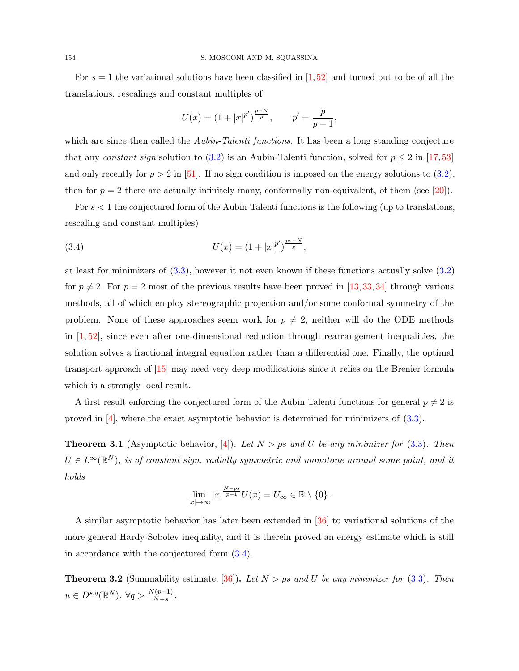<span id="page-7-2"></span>For  $s = 1$  the variational solutions have been classified in [\[1,](#page-14-8)[52\]](#page-16-9) and turned out to be of all the translations, rescalings and constant multiples of

<span id="page-7-0"></span>
$$
U(x) = (1 + |x|^{p'})^{\frac{p-N}{p}}, \qquad p' = \frac{p}{p-1},
$$

which are since then called the *Aubin-Talenti functions*. It has been a long standing conjecture that any constant sign solution to [\(3.2\)](#page-6-1) is an Aubin-Talenti function, solved for  $p \leq 2$  in [\[17,](#page-15-8)[53\]](#page-16-10) and only recently for  $p > 2$  in [\[51\]](#page-16-11). If no sign condition is imposed on the energy solutions to [\(3.2\)](#page-6-1), then for  $p = 2$  there are actually infinitely many, conformally non-equivalent, of them (see [\[20\]](#page-15-9)).

For  $s < 1$  the conjectured form of the Aubin-Talenti functions is the following (up to translations, rescaling and constant multiples)

(3.4) 
$$
U(x) = (1+|x|^{p'})^{\frac{ps-N}{p}},
$$

at least for minimizers of [\(3.3\)](#page-6-2), however it not even known if these functions actually solve [\(3.2\)](#page-6-1) for  $p \neq 2$ . For  $p = 2$  most of the previous results have been proved in [\[13,](#page-14-9) [33,](#page-15-10) [34\]](#page-15-11) through various methods, all of which employ stereographic projection and/or some conformal symmetry of the problem. None of these approaches seem work for  $p \neq 2$ , neither will do the ODE methods in  $[1, 52]$  $[1, 52]$ , since even after one-dimensional reduction through rearrangement inequalities, the solution solves a fractional integral equation rather than a differential one. Finally, the optimal transport approach of [\[15\]](#page-14-10) may need very deep modifications since it relies on the Brenier formula which is a strongly local result.

A first result enforcing the conjectured form of the Aubin-Talenti functions for general  $p \neq 2$  is proved in  $[4]$ , where the exact asymptotic behavior is determined for minimizers of  $(3.3)$ .

<span id="page-7-1"></span>**Theorem 3.1** (Asymptotic behavior, [\[4\]](#page-14-7)). Let  $N > ps$  and U be any minimizer for [\(3.3\)](#page-6-2). Then  $U \in L^{\infty}(\mathbb{R}^N)$ , is of constant sign, radially symmetric and monotone around some point, and it holds

$$
\lim_{|x|\to\infty}|x|^{\frac{N-ps}{p-1}}U(x)=U_{\infty}\in\mathbb{R}\setminus\{0\}.
$$

A similar asymptotic behavior has later been extended in [\[36\]](#page-16-7) to variational solutions of the more general Hardy-Sobolev inequality, and it is therein proved an energy estimate which is still in accordance with the conjectured form [\(3.4\)](#page-7-0).

**Theorem 3.2** (Summability estimate, [\[36\]](#page-16-7)). Let  $N > ps$  and U be any minimizer for [\(3.3\)](#page-6-2). Then  $u \in D^{s,q}(\mathbb{R}^N), \,\forall q > \frac{N(p-1)}{N-s}.$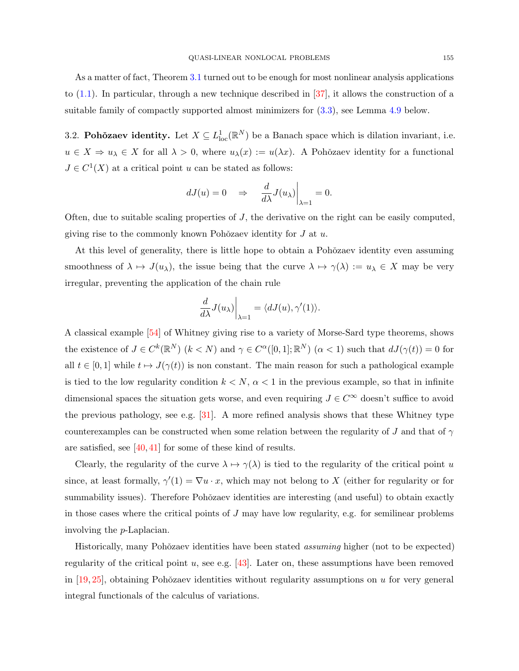<span id="page-8-1"></span>As a matter of fact, Theorem [3.1](#page-7-1) turned out to be enough for most nonlinear analysis applications to  $(1.1)$ . In particular, through a new technique described in  $[37]$ , it allows the construction of a suitable family of compactly supported almost minimizers for [\(3.3\)](#page-6-2), see Lemma [4.9](#page-14-11) below.

<span id="page-8-0"></span>3.2. Pohŏzaev identity. Let  $X \subseteq L^1_{loc}(\mathbb{R}^N)$  be a Banach space which is dilation invariant, i.e.  $u \in X \Rightarrow u_{\lambda} \in X$  for all  $\lambda > 0$ , where  $u_{\lambda}(x) := u(\lambda x)$ . A Pohozaev identity for a functional  $J \in C^1(X)$  at a critical point u can be stated as follows:

$$
dJ(u) = 0 \quad \Rightarrow \quad \frac{d}{d\lambda}J(u_\lambda)\Big|_{\lambda=1} = 0.
$$

Often, due to suitable scaling properties of  $J$ , the derivative on the right can be easily computed, giving rise to the commonly known Pohŏzaev identity for  $J$  at  $u$ .

At this level of generality, there is little hope to obtain a Pohozaev identity even assuming smoothness of  $\lambda \mapsto J(u_\lambda)$ , the issue being that the curve  $\lambda \mapsto \gamma(\lambda) := u_\lambda \in X$  may be very irregular, preventing the application of the chain rule

$$
\left. \frac{d}{d\lambda} J(u_\lambda) \right|_{\lambda=1} = \langle dJ(u), \gamma'(1) \rangle.
$$

A classical example [\[54\]](#page-16-12) of Whitney giving rise to a variety of Morse-Sard type theorems, shows the existence of  $J \in C^k(\mathbb{R}^N)$   $(k < N)$  and  $\gamma \in C^{\alpha}([0,1];\mathbb{R}^N)$   $(\alpha < 1)$  such that  $dJ(\gamma(t)) = 0$  for all  $t \in [0,1]$  while  $t \mapsto J(\gamma(t))$  is non constant. The main reason for such a pathological example is tied to the low regularity condition  $k < N$ ,  $\alpha < 1$  in the previous example, so that in infinite dimensional spaces the situation gets worse, and even requiring  $J \in C^{\infty}$  doesn't suffice to avoid the previous pathology, see e.g. [\[31\]](#page-15-12). A more refined analysis shows that these Whitney type counterexamples can be constructed when some relation between the regularity of J and that of  $\gamma$ are satisfied, see  $[40, 41]$  $[40, 41]$  for some of these kind of results.

Clearly, the regularity of the curve  $\lambda \mapsto \gamma(\lambda)$  is tied to the regularity of the critical point u since, at least formally,  $\gamma'(1) = \nabla u \cdot x$ , which may not belong to X (either for regularity or for summability issues). Therefore Pohŏzaev identities are interesting (and useful) to obtain exactly in those cases where the critical points of  $J$  may have low regularity, e.g. for semilinear problems involving the p-Laplacian.

Historically, many Pohŏzaev identities have been stated *assuming* higher (not to be expected) regularity of the critical point u, see e.g.  $[43]$ . Later on, these assumptions have been removed in  $[19, 25]$  $[19, 25]$ , obtaining Pohŏzaev identities without regularity assumptions on u for very general integral functionals of the calculus of variations.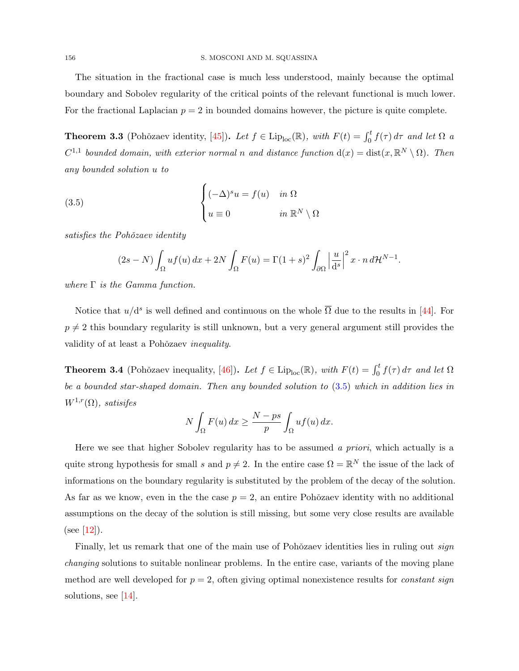<span id="page-9-1"></span>The situation in the fractional case is much less understood, mainly because the optimal boundary and Sobolev regularity of the critical points of the relevant functional is much lower. For the fractional Laplacian  $p = 2$  in bounded domains however, the picture is quite complete.

**Theorem 3.3** (Pohŏzaev identity, [\[45\]](#page-16-3)). Let  $f \in \text{Lip}_{\text{loc}}(\mathbb{R})$ , with  $F(t) = \int_0^t f(\tau) d\tau$  and let  $\Omega$  a  $C^{1,1}$  bounded domain, with exterior normal n and distance function  $d(x) = dist(x, \mathbb{R}^N \setminus \Omega)$ . Then any bounded solution u to

(3.5) 
$$
\begin{cases} (-\Delta)^s u = f(u) & \text{in } \Omega \\ u \equiv 0 & \text{in } \mathbb{R}^N \setminus \Omega \end{cases}
$$

satisfies the Pohŏzaev identity

<span id="page-9-0"></span>
$$
(2s-N)\int_{\Omega} uf(u) dx + 2N \int_{\Omega} F(u) = \Gamma(1+s)^2 \int_{\partial\Omega} \left|\frac{u}{d^s}\right|^2 x \cdot n d\mathcal{H}^{N-1}.
$$

where  $\Gamma$  is the Gamma function.

Notice that  $u/d^s$  is well defined and continuous on the whole  $\overline{\Omega}$  due to the results in [\[44\]](#page-16-0). For  $p \neq 2$  this boundary regularity is still unknown, but a very general argument still provides the validity of at least a Pohŏzaev inequality.

**Theorem 3.4** (Pohŏzaev inequality, [\[46\]](#page-16-16)). Let  $f \in \text{Lip}_{\text{loc}}(\mathbb{R})$ , with  $F(t) = \int_0^t f(\tau) d\tau$  and let  $\Omega$ be a bounded star-shaped domain. Then any bounded solution to [\(3.5\)](#page-9-0) which in addition lies in  $W^{1,r}(\Omega)$ , satisifes

$$
N\int_{\Omega} F(u) dx \geq \frac{N - ps}{p} \int_{\Omega} uf(u) dx.
$$

Here we see that higher Sobolev regularity has to be assumed a priori, which actually is a quite strong hypothesis for small s and  $p \neq 2$ . In the entire case  $\Omega = \mathbb{R}^N$  the issue of the lack of informations on the boundary regularity is substituted by the problem of the decay of the solution. As far as we know, even in the the case  $p = 2$ , an entire Pohŏzaev identity with no additional assumptions on the decay of the solution is still missing, but some very close results are available (see [\[12\]](#page-14-12)).

Finally, let us remark that one of the main use of Pohŏzaev identities lies in ruling out *sign* changing solutions to suitable nonlinear problems. In the entire case, variants of the moving plane method are well developed for  $p = 2$ , often giving optimal nonexistence results for *constant sign* solutions, see [\[14\]](#page-14-13).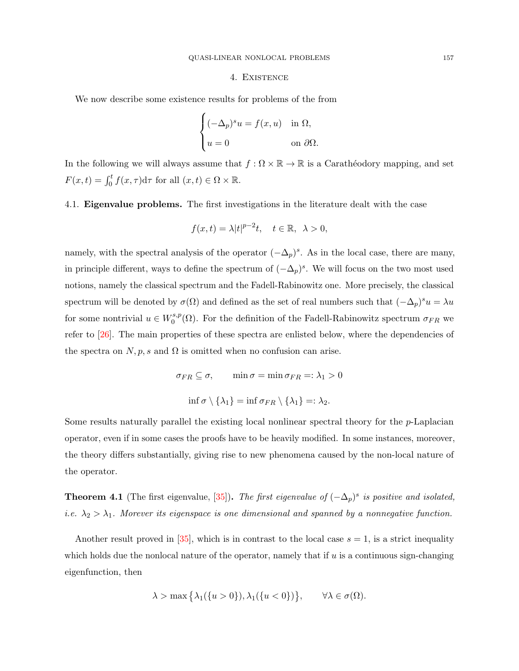#### 4. Existence

<span id="page-10-2"></span><span id="page-10-0"></span>We now describe some existence results for problems of the from

$$
\begin{cases} (-\Delta_p)^s u = f(x, u) & \text{in } \Omega, \\ u = 0 & \text{on } \partial\Omega. \end{cases}
$$

In the following we will always assume that  $f : \Omega \times \mathbb{R} \to \mathbb{R}$  is a Carathéodory mapping, and set  $F(x,t) = \int_0^t f(x,\tau) d\tau$  for all  $(x,t) \in \Omega \times \mathbb{R}$ .

<span id="page-10-1"></span>4.1. Eigenvalue problems. The first investigations in the literature dealt with the case

$$
f(x,t) = \lambda |t|^{p-2}t, \quad t \in \mathbb{R}, \ \lambda > 0,
$$

namely, with the spectral analysis of the operator  $(-\Delta_p)^s$ . As in the local case, there are many, in principle different, ways to define the spectrum of  $(-\Delta_p)^s$ . We will focus on the two most used notions, namely the classical spectrum and the Fadell-Rabinowitz one. More precisely, the classical spectrum will be denoted by  $\sigma(\Omega)$  and defined as the set of real numbers such that  $(-\Delta_p)^s u = \lambda u$ for some nontrivial  $u \in W_0^{s,p}$ <sup>s,p</sup>( $\Omega$ ). For the definition of the Fadell-Rabinowitz spectrum  $\sigma_{FR}$  we refer to  $[26]$ . The main properties of these spectra are enlisted below, where the dependencies of the spectra on  $N, p, s$  and  $\Omega$  is omitted when no confusion can arise.

$$
\sigma_{FR} \subseteq \sigma, \qquad \min \sigma = \min \sigma_{FR} =: \lambda_1 > 0
$$

$$
\inf \sigma \setminus \{\lambda_1\} = \inf \sigma_{FR} \setminus \{\lambda_1\} =: \lambda_2.
$$

Some results naturally parallel the existing local nonlinear spectral theory for the p-Laplacian operator, even if in some cases the proofs have to be heavily modified. In some instances, moreover, the theory differs substantially, giving rise to new phenomena caused by the non-local nature of the operator.

**Theorem 4.1** (The first eigenvalue, [\[35\]](#page-15-15)). The first eigenvalue of  $(-\Delta_p)^s$  is positive and isolated, *i.e.*  $\lambda_2 > \lambda_1$ . Morever its eigenspace is one dimensional and spanned by a nonnegative function.

Another result proved in [\[35\]](#page-15-15), which is in contrast to the local case  $s = 1$ , is a strict inequality which holds due the nonlocal nature of the operator, namely that if  $u$  is a continuous sign-changing eigenfunction, then

$$
\lambda > \max\left\{\lambda_1(\{u > 0\}), \lambda_1(\{u < 0\})\right\}, \qquad \forall \lambda \in \sigma(\Omega).
$$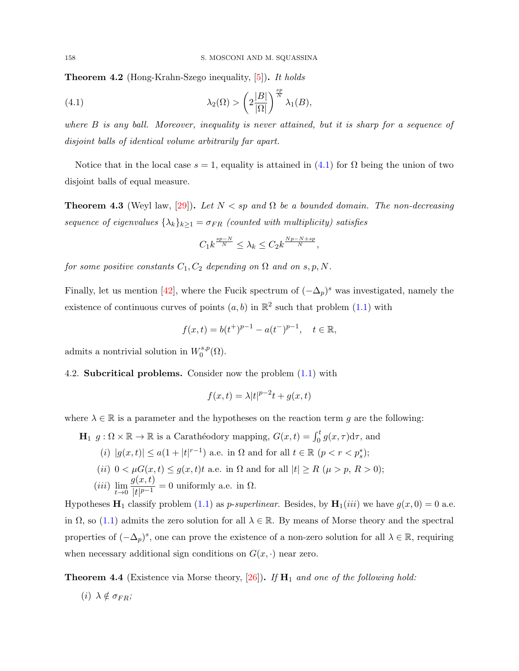<span id="page-11-2"></span>Theorem 4.2 (Hong-Krahn-Szego inequality, [\[5\]](#page-14-4)). It holds

<span id="page-11-1"></span>(4.1) 
$$
\lambda_2(\Omega) > \left(2\frac{|B|}{|\Omega|}\right)^{\frac{sp}{N}}\lambda_1(B),
$$

where  $B$  is any ball. Moreover, inequality is never attained, but it is sharp for a sequence of disjoint balls of identical volume arbitrarily far apart.

Notice that in the local case  $s = 1$ , equality is attained in  $(4.1)$  for  $\Omega$  being the union of two disjoint balls of equal measure.

**Theorem 4.3** (Weyl law, [\[29\]](#page-15-16)). Let  $N < sp$  and  $\Omega$  be a bounded domain. The non-decreasing sequence of eigenvalues  $\{\lambda_k\}_{k\geq 1} = \sigma_{FR}$  (counted with multiplicity) satisfies

$$
C_1k^{\frac{sp-N}{N}} \leq \lambda_k \leq C_2k^{\frac{Np-N+sp}{N}},
$$

for some positive constants  $C_1, C_2$  depending on  $\Omega$  and on s, p, N.

Finally, let us mention [\[42\]](#page-16-17), where the Fucik spectrum of  $(-\Delta_p)^s$  was investigated, namely the existence of continuous curves of points  $(a, b)$  in  $\mathbb{R}^2$  such that problem  $(1.1)$  with

$$
f(x,t) = b(t^+)^{p-1} - a(t^-)^{p-1}, \quad t \in \mathbb{R},
$$

admits a nontrivial solution in  $W_0^{s,p}$  $\zeta_0^{s,p}(\Omega)$ .

## <span id="page-11-0"></span>4.2. Subcritical problems. Consider now the problem [\(1.1\)](#page-0-0) with

$$
f(x,t) = \lambda |t|^{p-2}t + g(x,t)
$$

where  $\lambda \in \mathbb{R}$  is a parameter and the hypotheses on the reaction term g are the following:

 $\mathbf{H}_1$   $g: \Omega \times \mathbb{R} \to \mathbb{R}$  is a Carathéodory mapping,  $G(x, t) = \int_0^t g(x, \tau) d\tau$ , and

(i) 
$$
|g(x,t)| \leq a(1+|t|^{r-1})
$$
 a.e. in  $\Omega$  and for all  $t \in \mathbb{R}$   $(p < r < p_s^*)$ ;

(ii)  $0 < \mu G(x,t) \leq g(x,t)t$  a.e. in  $\Omega$  and for all  $|t| \geq R$  ( $\mu > p$ ,  $R > 0$ );

(*iii*) 
$$
\lim_{t \to 0} \frac{g(x,t)}{|t|^{p-1}} = 0
$$
 uniformly a.e. in  $\Omega$ .

Hypotheses  $\mathbf{H}_1$  classify problem [\(1.1\)](#page-0-0) as *p-superlinear*. Besides, by  $\mathbf{H}_1(iii)$  we have  $g(x, 0) = 0$  a.e. in  $\Omega$ , so [\(1.1\)](#page-0-0) admits the zero solution for all  $\lambda \in \mathbb{R}$ . By means of Morse theory and the spectral properties of  $(-\Delta_p)^s$ , one can prove the existence of a non-zero solution for all  $\lambda \in \mathbb{R}$ , requiring when necessary additional sign conditions on  $G(x, \cdot)$  near zero.

**Theorem 4.4** (Existence via Morse theory, [\[26\]](#page-15-2)). If  $H_1$  and one of the following hold:

(*i*)  $\lambda \notin \sigma_{FR}$ ;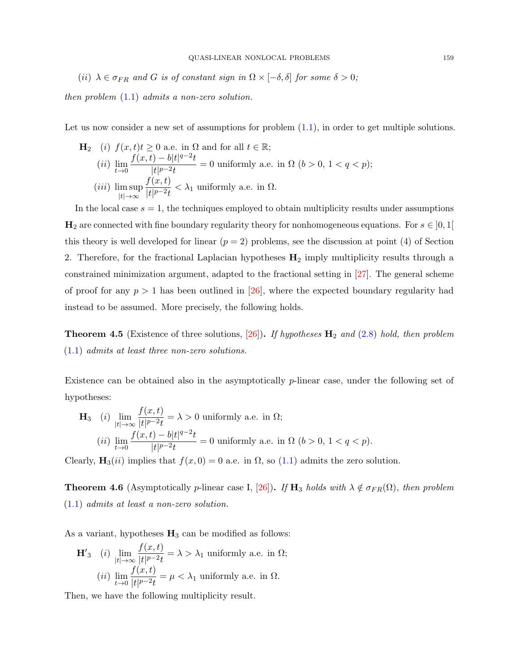<span id="page-12-0"></span>(ii)  $\lambda \in \sigma_{FR}$  and G is of constant sign in  $\Omega \times [-\delta, \delta]$  for some  $\delta > 0$ ;

then problem [\(1.1\)](#page-0-0) admits a non-zero solution.

Let us now consider a new set of assumptions for problem  $(1.1)$ , in order to get multiple solutions.

\n- **H**<sub>2</sub> (i) 
$$
f(x,t)t \geq 0
$$
 a.e. in  $\Omega$  and for all  $t \in \mathbb{R}$ ;
\n- (ii)  $\lim_{t \to 0} \frac{f(x,t) - b|t|^{q-2}t}{|t|^{p-2}t} = 0$  uniformly a.e. in  $\Omega$  ( $b > 0$ ,  $1 < q < p$ );
\n- (iii)  $\limsup_{|t| \to \infty} \frac{f(x,t)}{|t|^{p-2}t} < \lambda_1$  uniformly a.e. in  $\Omega$ .
\n

In the local case  $s = 1$ , the techniques employed to obtain multiplicity results under assumptions  $\mathbf{H}_2$  are connected with fine boundary regularity theory for nonhomogeneous equations. For  $s \in [0,1]$ this theory is well developed for linear  $(p = 2)$  problems, see the discussion at point (4) of Section 2. Therefore, for the fractional Laplacian hypotheses  $H_2$  imply multiplicity results through a constrained minimization argument, adapted to the fractional setting in [\[27\]](#page-15-3). The general scheme of proof for any  $p > 1$  has been outlined in [\[26\]](#page-15-2), where the expected boundary regularity had instead to be assumed. More precisely, the following holds.

**Theorem 4.5** (Existence of three solutions, [\[26\]](#page-15-2)). If hypotheses  $H_2$  and [\(2.8\)](#page-5-3) hold, then problem [\(1.1\)](#page-0-0) admits at least three non-zero solutions.

Existence can be obtained also in the asymptotically p-linear case, under the following set of hypotheses:

$$
\mathbf{H}_3 \quad (i) \lim_{|t| \to \infty} \frac{f(x,t)}{|t|^{p-2}t} = \lambda > 0 \text{ uniformly a.e. in } \Omega;
$$
\n
$$
(ii) \lim_{t \to 0} \frac{f(x,t) - b|t|^{q-2}t}{|t|^{p-2}t} = 0 \text{ uniformly a.e. in } \Omega \ (b > 0, \ 1 < q < p).
$$

Clearly,  $\mathbf{H}_3(ii)$  implies that  $f(x, 0) = 0$  a.e. in  $\Omega$ , so [\(1.1\)](#page-0-0) admits the zero solution.

**Theorem 4.6** (Asymptotically p-linear case I, [\[26\]](#page-15-2)). If  $H_3$  holds with  $\lambda \notin \sigma_{FR}(\Omega)$ , then problem [\(1.1\)](#page-0-0) admits at least a non-zero solution.

As a variant, hypotheses  $H_3$  can be modified as follows:

$$
\mathbf{H'}_{3} \quad (i) \lim_{|t| \to \infty} \frac{f(x,t)}{|t|^{p-2}t} = \lambda > \lambda_{1} \text{ uniformly a.e. in } \Omega;
$$
\n
$$
(ii) \lim_{t \to 0} \frac{f(x,t)}{|t|^{p-2}t} = \mu < \lambda_{1} \text{ uniformly a.e. in } \Omega.
$$

Then, we have the following multiplicity result.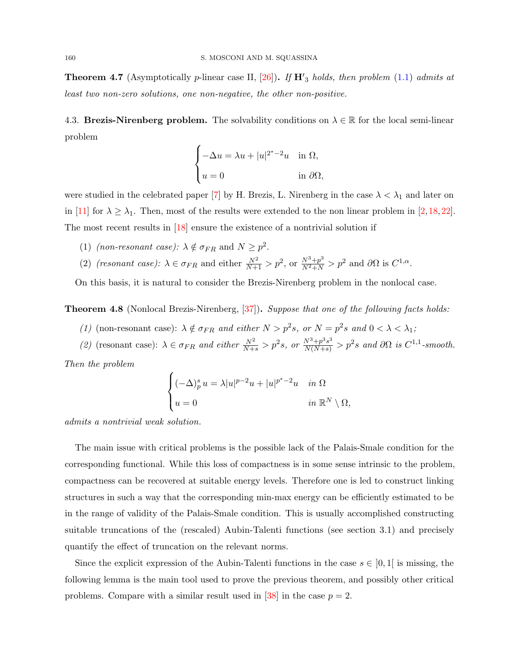<span id="page-13-1"></span>**Theorem 4.7** (Asymptotically p-linear case II,  $[26]$ ). If  $\mathbf{H}'_3$  holds, then problem [\(1.1\)](#page-0-0) admits at least two non-zero solutions, one non-negative, the other non-positive.

<span id="page-13-0"></span>4.3. Brezis-Nirenberg problem. The solvability conditions on  $\lambda \in \mathbb{R}$  for the local semi-linear problem

$$
\begin{cases}\n-\Delta u = \lambda u + |u|^{2^*-2}u & \text{in } \Omega, \\
u = 0 & \text{in } \partial\Omega,\n\end{cases}
$$

were studied in the celebrated paper [\[7\]](#page-14-14) by H. Brezis, L. Nirenberg in the case  $\lambda < \lambda_1$  and later on in [\[11\]](#page-14-15) for  $\lambda \geq \lambda_1$ . Then, most of the results were extended to the non linear problem in [\[2,](#page-14-16)[18,](#page-15-17)[22\]](#page-15-18). The most recent results in [\[18\]](#page-15-17) ensure the existence of a nontrivial solution if

- (1) (non-resonant case):  $\lambda \notin \sigma_{FR}$  and  $N \geq p^2$ .
- (2) (resonant case):  $\lambda \in \sigma_{FR}$  and either  $\frac{N^2}{N+1} > p^2$ , or  $\frac{N^3+p^3}{N^2+N} > p^2$  and  $\partial\Omega$  is  $C^{1,\alpha}$ .

On this basis, it is natural to consider the Brezis-Nirenberg problem in the nonlocal case.

**Theorem 4.8** (Nonlocal Brezis-Nirenberg, [\[37\]](#page-16-5)). Suppose that one of the following facts holds:

- (1) (non-resonant case):  $\lambda \notin \sigma_{FR}$  and either  $N > p^2s$ , or  $N = p^2s$  and  $0 < \lambda < \lambda_1$ ;
- (2) (resonant case):  $\lambda \in \sigma_{FR}$  and either  $\frac{N^2}{N+s} > p^2s$ , or  $\frac{N^3+p^3s^3}{N(N+s)} > p^2s$  and  $\partial\Omega$  is  $C^{1,1}$ -smooth.

Then the problem

$$
\begin{cases} (-\Delta)_p^s u = \lambda |u|^{p-2}u + |u|^{p^*-2}u & \text{in } \Omega\\ u = 0 & \text{in } \mathbb{R}^N \setminus \Omega, \end{cases}
$$

admits a nontrivial weak solution.

The main issue with critical problems is the possible lack of the Palais-Smale condition for the corresponding functional. While this loss of compactness is in some sense intrinsic to the problem, compactness can be recovered at suitable energy levels. Therefore one is led to construct linking structures in such a way that the corresponding min-max energy can be efficiently estimated to be in the range of validity of the Palais-Smale condition. This is usually accomplished constructing suitable truncations of the (rescaled) Aubin-Talenti functions (see section 3.1) and precisely quantify the effect of truncation on the relevant norms.

Since the explicit expression of the Aubin-Talenti functions in the case  $s \in [0,1]$  is missing, the following lemma is the main tool used to prove the previous theorem, and possibly other critical problems. Compare with a similar result used in [\[38\]](#page-16-18) in the case  $p = 2$ .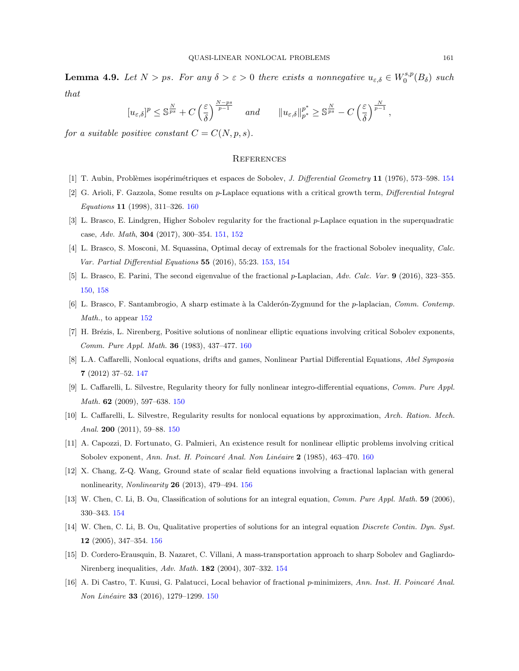<span id="page-14-11"></span>**Lemma 4.9.** Let  $N > ps$ . For any  $\delta > \varepsilon > 0$  there exists a nonnegative  $u_{\varepsilon,\delta} \in W_0^{s,p}$  $b_0^{s,p}(B_\delta)$  such that

$$
[u_{\varepsilon,\delta}]^p \leq \mathbb{S}^{\frac{N}{ps}} + C \left(\frac{\varepsilon}{\delta}\right)^{\frac{N-ps}{p-1}} \quad \text{and} \quad ||u_{\varepsilon,\delta}||_{p^*}^{p^*} \geq \mathbb{S}^{\frac{N}{ps}} - C \left(\frac{\varepsilon}{\delta}\right)^{\frac{N}{p-1}},
$$

for a suitable positive constant  $C = C(N, p, s)$ .

#### **REFERENCES**

- <span id="page-14-8"></span>[1] T. Aubin, Problèmes isopérimétriques et espaces de Sobolev, *J. Differential Geometry* 11 (1976), 573–598. [154](#page-7-2)
- <span id="page-14-16"></span>[2] G. Arioli, F. Gazzola, Some results on p-Laplace equations with a critical growth term, Differential Integral Equations 11 (1998), 311–326. [160](#page-13-1)
- <span id="page-14-5"></span>[3] L. Brasco, E. Lindgren, Higher Sobolev regularity for the fractional p-Laplace equation in the superquadratic case, Adv. Math, 304 (2017), 300–354. [151,](#page-4-3) [152](#page-5-4)
- <span id="page-14-7"></span>[4] L. Brasco, S. Mosconi, M. Squassina, Optimal decay of extremals for the fractional Sobolev inequality, Calc. Var. Partial Differential Equations 55 (2016), 55:23. [153,](#page-6-3) [154](#page-7-2)
- <span id="page-14-4"></span>[5] L. Brasco, E. Parini, The second eigenvalue of the fractional p-Laplacian, Adv. Calc. Var. 9 (2016), 323–355. [150,](#page-3-1) [158](#page-11-2)
- <span id="page-14-6"></span>[6] L. Brasco, F. Santambrogio, A sharp estimate à la Calderón-Zygmund for the p-laplacian, Comm. Contemp. Math., to appear [152](#page-5-4)
- <span id="page-14-14"></span>[7] H. Brézis, L. Nirenberg, Positive solutions of nonlinear elliptic equations involving critical Sobolev exponents, Comm. Pure Appl. Math. 36 (1983), 437–477. [160](#page-13-1)
- <span id="page-14-0"></span>[8] L.A. Caffarelli, Nonlocal equations, drifts and games, Nonlinear Partial Differential Equations, Abel Symposia 7 (2012) 37–52. [147](#page-0-1)
- <span id="page-14-1"></span>[9] L. Caffarelli, L. Silvestre, Regularity theory for fully nonlinear integro-differential equations, Comm. Pure Appl. Math. 62 (2009), 597–638. [150](#page-3-1)
- <span id="page-14-2"></span>[10] L. Caffarelli, L. Silvestre, Regularity results for nonlocal equations by approximation, Arch. Ration. Mech. Anal. 200 (2011), 59–88. [150](#page-3-1)
- <span id="page-14-15"></span>[11] A. Capozzi, D. Fortunato, G. Palmieri, An existence result for nonlinear elliptic problems involving critical Sobolev exponent, Ann. Inst. H. Poincaré Anal. Non Linéaire 2 (1985), 463–470. [160](#page-13-1)
- <span id="page-14-12"></span>[12] X. Chang, Z-Q. Wang, Ground state of scalar field equations involving a fractional laplacian with general nonlinearity, Nonlinearity 26 (2013), 479–494. [156](#page-9-1)
- <span id="page-14-9"></span>[13] W. Chen, C. Li, B. Ou, Classification of solutions for an integral equation, Comm. Pure Appl. Math. 59 (2006), 330–343. [154](#page-7-2)
- <span id="page-14-13"></span>[14] W. Chen, C. Li, B. Ou, Qualitative properties of solutions for an integral equation Discrete Contin. Dyn. Syst. 12 (2005), 347–354. [156](#page-9-1)
- <span id="page-14-10"></span>[15] D. Cordero-Erausquin, B. Nazaret, C. Villani, A mass-transportation approach to sharp Sobolev and Gagliardo-Nirenberg inequalities, Adv. Math. 182 (2004), 307–332. [154](#page-7-2)
- <span id="page-14-3"></span>[16] A. Di Castro, T. Kuusi, G. Palatucci, Local behavior of fractional p-minimizers, Ann. Inst. H. Poincaré Anal. Non Linéaire 33 (2016), 1279-1299. [150](#page-3-1)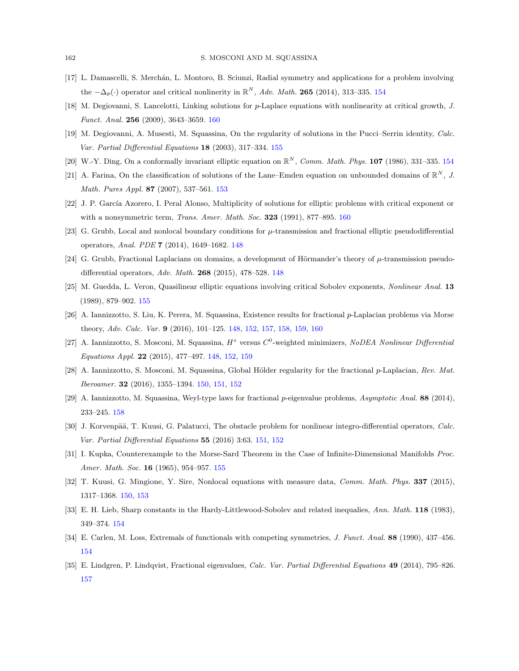- <span id="page-15-8"></span>[17] L. Damascelli, S. Merchán, L. Montoro, B. Sciunzi, Radial symmetry and applications for a problem involving the  $-\Delta_p(\cdot)$  operator and critical nonlinerity in  $\mathbb{R}^N$ , Adv. Math. 265 (2014), 313–335. [154](#page-7-2)
- <span id="page-15-17"></span>[18] M. Degiovanni, S. Lancelotti, Linking solutions for p-Laplace equations with nonlinearity at critical growth, J. Funct. Anal. 256 (2009), 3643–3659. [160](#page-13-1)
- <span id="page-15-13"></span>[19] M. Degiovanni, A. Musesti, M. Squassina, On the regularity of solutions in the Pucci–Serrin identity, Calc. Var. Partial Differential Equations 18 (2003), 317–334. [155](#page-8-1)
- <span id="page-15-9"></span>[20] W.-Y. Ding, On a conformally invariant elliptic equation on  $\mathbb{R}^N$ , Comm. Math. Phys. 107 (1986), 331-335. [154](#page-7-2)
- <span id="page-15-7"></span>[21] A. Farina, On the classification of solutions of the Lane–Emden equation on unbounded domains of  $\mathbb{R}^N$ , J. Math. Pures Appl. 87 (2007), 537–561. [153](#page-6-3)
- <span id="page-15-18"></span>[22] J. P. García Azorero, I. Peral Alonso, Multiplicity of solutions for elliptic problems with critical exponent or with a nonsymmetric term, *Trans. Amer. Math. Soc.* 323 (1991), 877-895. [160](#page-13-1)
- <span id="page-15-0"></span>[23] G. Grubb, Local and nonlocal boundary conditions for  $\mu$ -transmission and fractional elliptic pseudodifferential operators, Anal. PDE 7 (2014), 1649–1682. [148](#page-1-3)
- <span id="page-15-1"></span>[24] G. Grubb, Fractional Laplacians on domains, a development of Hörmander's theory of  $\mu$ -transmission pseudodifferential operators, Adv. Math. 268 (2015), 478–528. [148](#page-1-3)
- <span id="page-15-14"></span>[25] M. Guedda, L. Veron, Quasilinear elliptic equations involving critical Sobolev exponents, Nonlinear Anal. 13 (1989), 879–902. [155](#page-8-1)
- <span id="page-15-2"></span>[26] A. Iannizzotto, S. Liu, K. Perera, M. Squassina, Existence results for fractional p-Laplacian problems via Morse theory, Adv. Calc. Var. 9 (2016), 101–125. [148,](#page-1-3) [152,](#page-5-4) [157,](#page-10-2) [158,](#page-11-2) [159,](#page-12-0) [160](#page-13-1)
- <span id="page-15-3"></span>[27] A. Iannizzotto, S. Mosconi, M. Squassina,  $H^s$  versus  $C^0$ -weighted minimizers, NoDEA Nonlinear Differential Equations Appl. 22 (2015), 477–497. [148,](#page-1-3) [152,](#page-5-4) [159](#page-12-0)
- <span id="page-15-5"></span>[28] A. Iannizzotto, S. Mosconi, M. Squassina, Global Hölder regularity for the fractional p-Laplacian, Rev. Mat. Iberoamer. 32 (2016), 1355–1394. [150,](#page-3-1) [151,](#page-4-3) [152](#page-5-4)
- <span id="page-15-16"></span>[29] A. Iannizzotto, M. Squassina, Weyl-type laws for fractional p-eigenvalue problems, Asymptotic Anal. 88 (2014), 233–245. [158](#page-11-2)
- <span id="page-15-6"></span>[30] J. Korvenpää, T. Kuusi, G. Palatucci, The obstacle problem for nonlinear integro-differential operators, Calc. Var. Partial Differential Equations 55 (2016) 3:63. [151,](#page-4-3) [152](#page-5-4)
- <span id="page-15-12"></span>[31] I. Kupka, Counterexample to the Morse-Sard Theorem in the Case of Infinite-Dimensional Manifolds Proc. Amer. Math. Soc. 16 (1965), 954–957. [155](#page-8-1)
- <span id="page-15-4"></span>[32] T. Kuusi, G. Mingione, Y. Sire, Nonlocal equations with measure data, Comm. Math. Phys. 337 (2015), 1317–1368. [150,](#page-3-1) [153](#page-6-3)
- <span id="page-15-10"></span>[33] E. H. Lieb, Sharp constants in the Hardy-Littlewood-Sobolev and related inequalies, Ann. Math. 118 (1983), 349–374. [154](#page-7-2)
- <span id="page-15-11"></span>[34] E. Carlen, M. Loss, Extremals of functionals with competing symmetries, J. Funct. Anal. 88 (1990), 437–456. [154](#page-7-2)
- <span id="page-15-15"></span>[35] E. Lindgren, P. Lindqvist, Fractional eigenvalues, Calc. Var. Partial Differential Equations 49 (2014), 795–826. [157](#page-10-2)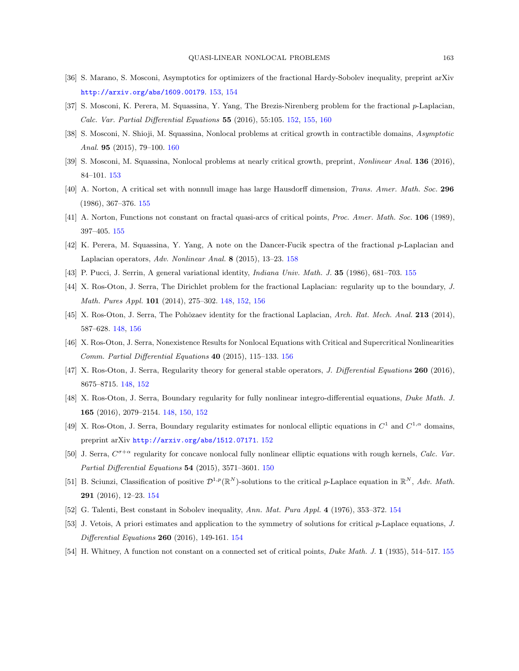- <span id="page-16-7"></span>[36] S. Marano, S. Mosconi, Asymptotics for optimizers of the fractional Hardy-Sobolev inequality, preprint arXiv <http://arxiv.org/abs/1609.00179>. [153,](#page-6-3) [154](#page-7-2)
- <span id="page-16-5"></span>[37] S. Mosconi, K. Perera, M. Squassina, Y. Yang, The Brezis-Nirenberg problem for the fractional p-Laplacian, Calc. Var. Partial Differential Equations 55 (2016), 55:105. [152,](#page-5-4) [155,](#page-8-1) [160](#page-13-1)
- <span id="page-16-18"></span>[38] S. Mosconi, N. Shioji, M. Squassina, Nonlocal problems at critical growth in contractible domains, Asymptotic Anal. 95 (2015), 79–100. [160](#page-13-1)
- <span id="page-16-8"></span>[39] S. Mosconi, M. Squassina, Nonlocal problems at nearly critical growth, preprint, Nonlinear Anal. 136 (2016), 84–101. [153](#page-6-3)
- <span id="page-16-13"></span>[40] A. Norton, A critical set with nonnull image has large Hausdorff dimension, Trans. Amer. Math. Soc. 296 (1986), 367–376. [155](#page-8-1)
- <span id="page-16-14"></span>[41] A. Norton, Functions not constant on fractal quasi-arcs of critical points, Proc. Amer. Math. Soc. 106 (1989), 397–405. [155](#page-8-1)
- <span id="page-16-17"></span>[42] K. Perera, M. Squassina, Y. Yang, A note on the Dancer-Fucik spectra of the fractional p-Laplacian and Laplacian operators, Adv. Nonlinear Anal. 8 (2015), 13–23. [158](#page-11-2)
- <span id="page-16-15"></span>[43] P. Pucci, J. Serrin, A general variational identity, Indiana Univ. Math. J. 35 (1986), 681–703. [155](#page-8-1)
- <span id="page-16-0"></span>[44] X. Ros-Oton, J. Serra, The Dirichlet problem for the fractional Laplacian: regularity up to the boundary, J. Math. Pures Appl. 101 (2014), 275–302. [148,](#page-1-3) [152,](#page-5-4) [156](#page-9-1)
- <span id="page-16-3"></span>[45] X. Ros-Oton, J. Serra, The Pohŏzaev identity for the fractional Laplacian, Arch. Rat. Mech. Anal. 213 (2014), 587–628. [148,](#page-1-3) [156](#page-9-1)
- <span id="page-16-16"></span>[46] X. Ros-Oton, J. Serra, Nonexistence Results for Nonlocal Equations with Critical and Supercritical Nonlinearities Comm. Partial Differential Equations 40 (2015), 115–133. [156](#page-9-1)
- <span id="page-16-1"></span>[47] X. Ros-Oton, J. Serra, Regularity theory for general stable operators, *J. Differential Equations* 260 (2016), 8675–8715. [148,](#page-1-3) [152](#page-5-4)
- <span id="page-16-2"></span>[48] X. Ros-Oton, J. Serra, Boundary regularity for fully nonlinear integro-differential equations, Duke Math. J. 165 (2016), 2079–2154. [148,](#page-1-3) [150,](#page-3-1) [152](#page-5-4)
- <span id="page-16-6"></span>[49] X. Ros-Oton, J. Serra, Boundary regularity estimates for nonlocal elliptic equations in  $C^1$  and  $C^{1,\alpha}$  domains, preprint arXiv <http://arxiv.org/abs/1512.07171>. [152](#page-5-4)
- <span id="page-16-4"></span>[50] J. Serra,  $C^{\sigma+\alpha}$  regularity for concave nonlocal fully nonlinear elliptic equations with rough kernels, Calc. Var. Partial Differential Equations 54 (2015), 3571–3601. [150](#page-3-1)
- <span id="page-16-11"></span>[51] B. Sciunzi, Classification of positive  $\mathcal{D}^{1,p}(\mathbb{R}^N)$ -solutions to the critical p-Laplace equation in  $\mathbb{R}^N$ , Adv. Math. 291 (2016), 12–23. [154](#page-7-2)
- <span id="page-16-9"></span>[52] G. Talenti, Best constant in Sobolev inequality, Ann. Mat. Pura Appl. 4 (1976), 353–372. [154](#page-7-2)
- <span id="page-16-10"></span>[53] J. Vetois, A priori estimates and application to the symmetry of solutions for critical p-Laplace equations, J. Differential Equations 260 (2016), 149-161. [154](#page-7-2)
- <span id="page-16-12"></span>[54] H. Whitney, A function not constant on a connected set of critical points, Duke Math. J. 1 (1935), 514–517. [155](#page-8-1)